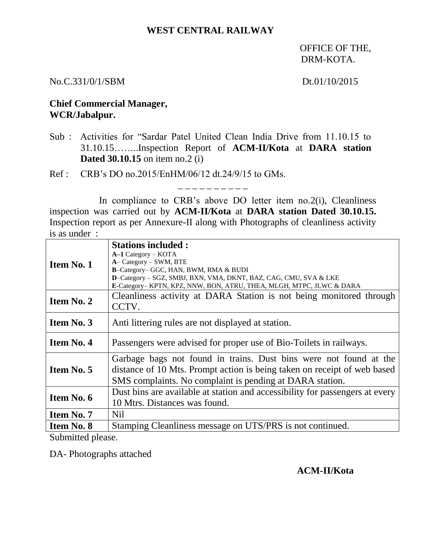## **WEST CENTRAL RAILWAY**

OFFICE OF THE, DRM-KOTA.

No.C.331/0/1/SBM Dt.01/10/2015

## **Chief Commercial Manager, WCR/Jabalpur.**

Sub : Activities for "Sardar Patel United Clean India Drive from 11.10.15 to 31.10.15……..Inspection Report of **ACM-II/Kota** at **DARA station Dated 30.10.15** on item no.2 (i)

Ref : CRB's DO no.2015/EnHM/06/12 dt.24/9/15 to GMs.

In compliance to CRB's above DO letter item no. 2(i), Cleanliness inspection was carried out by **ACM-II/Kota** at **DARA station Dated 30.10.15.** Inspection report as per Annexure-II along with Photographs of cleanliness activity is as under :

\_ \_ \_ \_ \_ \_ \_ \_ \_ \_

| Item No. 1        | <b>Stations included:</b><br>$A-1$ Category – KOTA<br>A-Category - SWM, BTE<br>B-Category- GGC, HAN, BWM, RMA & BUDI<br>D-Category - SGZ, SMBJ, BXN, VMA, DKNT, BAZ, CAG, CMU, SVA & LKE<br>E-Category- KPTN, KPZ, NNW, BON, ATRU, THEA, MLGH, MTPC, JLWC & DARA |
|-------------------|------------------------------------------------------------------------------------------------------------------------------------------------------------------------------------------------------------------------------------------------------------------|
| Item No. 2        | Cleanliness activity at DARA Station is not being monitored through<br>CCTV.                                                                                                                                                                                     |
| <b>Item No. 3</b> | Anti littering rules are not displayed at station.                                                                                                                                                                                                               |
| <b>Item No. 4</b> | Passengers were advised for proper use of Bio-Toilets in railways.                                                                                                                                                                                               |
| <b>Item No. 5</b> | Garbage bags not found in trains. Dust bins were not found at the<br>distance of 10 Mts. Prompt action is being taken on receipt of web based<br>SMS complaints. No complaint is pending at DARA station.                                                        |
| Item No. 6        | Dust bins are available at station and accessibility for passengers at every<br>10 Mtrs. Distances was found.                                                                                                                                                    |
| <b>Item No. 7</b> | Nil                                                                                                                                                                                                                                                              |
| <b>Item No. 8</b> | Stamping Cleanliness message on UTS/PRS is not continued.                                                                                                                                                                                                        |

Submitted please.

DA- Photographs attached

**ACM-II/Kota**